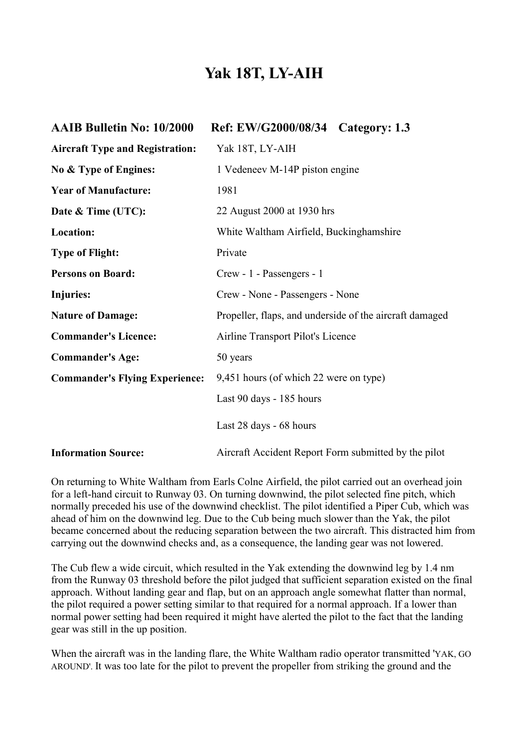## **Yak 18T, LY-AIH**

| <b>AAIB Bulletin No: 10/2000</b>       | Ref: EW/G2000/08/34 Category: 1.3                       |  |
|----------------------------------------|---------------------------------------------------------|--|
| <b>Aircraft Type and Registration:</b> | Yak 18T, LY-AIH                                         |  |
| No & Type of Engines:                  | 1 Vedeneev M-14P piston engine                          |  |
| <b>Year of Manufacture:</b>            | 1981                                                    |  |
| Date & Time (UTC):                     | 22 August 2000 at 1930 hrs                              |  |
| Location:                              | White Waltham Airfield, Buckinghamshire                 |  |
| <b>Type of Flight:</b>                 | Private                                                 |  |
| <b>Persons on Board:</b>               | Crew - 1 - Passengers - 1                               |  |
| <b>Injuries:</b>                       | Crew - None - Passengers - None                         |  |
| <b>Nature of Damage:</b>               | Propeller, flaps, and underside of the aircraft damaged |  |
| <b>Commander's Licence:</b>            | Airline Transport Pilot's Licence                       |  |
| <b>Commander's Age:</b>                | 50 years                                                |  |
| <b>Commander's Flying Experience:</b>  | 9,451 hours (of which 22 were on type)                  |  |
|                                        | Last 90 days - 185 hours                                |  |
|                                        | Last 28 days - 68 hours                                 |  |
| <b>Information Source:</b>             | Aircraft Accident Report Form submitted by the pilot    |  |

On returning to White Waltham from Earls Colne Airfield, the pilot carried out an overhead join for a left-hand circuit to Runway 03. On turning downwind, the pilot selected fine pitch, which normally preceded his use of the downwind checklist. The pilot identified a Piper Cub, which was ahead of him on the downwind leg. Due to the Cub being much slower than the Yak, the pilot became concerned about the reducing separation between the two aircraft. This distracted him from carrying out the downwind checks and, as a consequence, the landing gear was not lowered.

The Cub flew a wide circuit, which resulted in the Yak extending the downwind leg by 1.4 nm from the Runway 03 threshold before the pilot judged that sufficient separation existed on the final approach. Without landing gear and flap, but on an approach angle somewhat flatter than normal, the pilot required a power setting similar to that required for a normal approach. If a lower than normal power setting had been required it might have alerted the pilot to the fact that the landing gear was still in the up position.

When the aircraft was in the landing flare, the White Waltham radio operator transmitted 'YAK, GO AROUND'. It was too late for the pilot to prevent the propeller from striking the ground and the